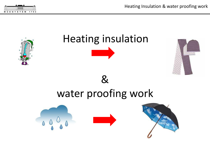

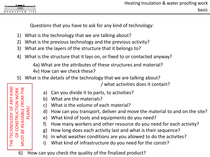

THE TECHNOLOGY OF ANY KIND

**TECHNOLOGY** 

Ë

5U

**ANY KIND** 

OF CONSTRUCTION WORK

ŭ BE

 $\overline{5}$ 

**ORK** 콭

MUST BE READABLE FROM THE

NUST

≃

 $\mathsf{M}^{\mathsf{D}}$ 

PLANS!

Questions that you have to ask for any kind of technology:

- 1) What is the technology that we are talking about?
- 2) What is the previous technology and the previous activity?
- 3) What are the layers of the structure that it belongs to?
- 4) What is the structure that it lays on, or fixed to or contacted anyway?

4a) What are the attributes of these structures and material?

4v) How can we check these?

5) What is the details of the technology that we are talking about?

/ what activities does it contain?

- a) Can you divide it to parts, to activities?
- b) What are the materials?
- c) What is the volume of each material?
- d) How can you transport, deliver and move the material to and on the site?
- e) What kind of tools and equipments do you need?
- f) How many workers and other resource do you need for each activity?
- g) How long does each activity last and what is their sequence?
- h) In what weather conditions are you allowed to do the activites?
- i) What kind of infrastructure do you need for the constr?
- 6) How can you check the quality of the finalized product?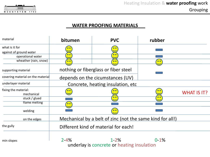

## **WATER PROOFING MATERIALS**

| material                                  | bitumen   | <b>PVC</b>                                                | rubber    |                    |
|-------------------------------------------|-----------|-----------------------------------------------------------|-----------|--------------------|
| what is it for<br>against of ground water |           |                                                           |           |                    |
| operational water                         | $\bullet$ | $\bullet$                                                 |           |                    |
| wheather (rain, snow)                     | $\bullet$ | $\bullet\bullet$                                          | $\bullet$ |                    |
| supporting material                       |           | nothing or fiberglass or fiber steel                      |           |                    |
| covering material on the material         |           | depends on the cicumstances (UV)                          |           |                    |
| underlayer material                       |           | Concrete, heating insulation, etc.                        |           |                    |
| fixing the material:<br>mechanical        |           |                                                           |           | <b>WHAT IS IT?</b> |
| stuck / glued                             |           | $\bullet$                                                 | $\bullet$ |                    |
| flame melting                             | $\bullet$ |                                                           |           |                    |
| welding                                   |           |                                                           |           |                    |
| on the edges                              |           | Mechanical by a belt of zinc (not the same kind for all!) |           |                    |
| the gully                                 |           | Different kind of material for each!                      |           |                    |
| min slopes                                | $2 - 4%$  | $1 - 2%$<br>underlay is concrete or heating insulation    | $0-1%$    |                    |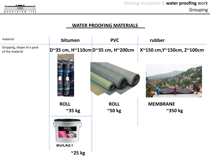

## **WATER PROOFING MATERIALS**

| material                                      | bitumen                         | <b>PVC</b>                        | rubber                     |
|-----------------------------------------------|---------------------------------|-----------------------------------|----------------------------|
| Stripping, shape of a pack<br>of the material |                                 | D~35 cm, H~110cm D~35 cm, H~200cm | X~150 cm, Y~150cm, Z~100cm |
|                                               |                                 |                                   |                            |
|                                               | <b>ROLL</b><br>$\approx$ 35 kg  | <b>ROLL</b><br>$^{\sim}$ 50 kg    | <b>MEMBRANE</b><br>~350 kg |
|                                               | <b>MUREXIN</b><br><b>BULKEI</b> |                                   |                            |
|                                               | $\approx$ 25 kg                 |                                   |                            |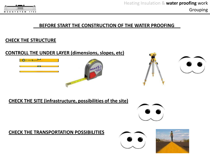

#### **BEFORE START THE CONSTRUCTION OF THE WATER PROOFING**

#### **CHECK THE STRUCTURE**

## **CONTROLL THE UNDER LAYER (dimensions, slopes, etc)**







## **CHECK THE SITE (infrastructure, possibilities of the site)**



## **CHECK THE TRANSPORTATION POSSIBILITIES**



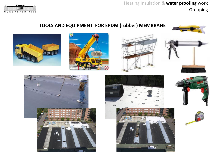

## **TOOLS AND EQUIPMENT FOR EPDM (rubber) MEMBRANE**









 $B \circ C$ 







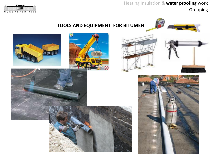

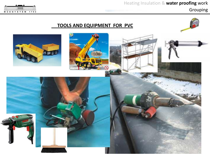## Grouping



## **TOOLS AND EQUIPMENT FOR PVC**

 $\omega$ 



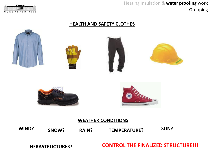#### mm MÜEGYETEM 1782

#### **HEALTH AND SAFETY CLOTHES**



**WIND? SNOW? RAIN? TEMPERATURE? SUN?**

**INFRASTRUCTURES? CONTROL THE FINALIZED STRUCTURE!!!**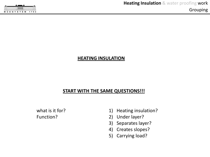

#### **HEATING INSULATION**

#### **START WITH THE SAME QUESTIONS!!!**

what is it for? Function?

- 1) Heating insulation?
- 2) Under layer?
- 3) Separates layer?
- 4) Creates slopes?
- 5) Carrying load?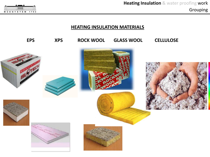|  |  | <b>ACCESS</b> |  |           |      |  |  |
|--|--|---------------|--|-----------|------|--|--|
|  |  | <b>min</b>    |  |           |      |  |  |
|  |  |               |  | MÜEGYETEM | 1782 |  |  |

## **HEATING INSULATION MATERIALS**

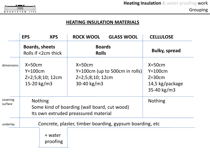

## **HEATING INSULATION MATERIALS**

|                     | <b>XPS</b><br><b>EPS</b>                                                                               | <b>ROCK WOOL</b><br><b>GLASS WOOL</b>                                            | <b>CELLULOSE</b>                                                      |  |  |  |
|---------------------|--------------------------------------------------------------------------------------------------------|----------------------------------------------------------------------------------|-----------------------------------------------------------------------|--|--|--|
|                     | <b>Boards, sheets</b><br>Rolls if <2cm thick                                                           | <b>Boards</b><br><b>Rolls</b>                                                    | <b>Bulky, spread</b>                                                  |  |  |  |
| dimensions          | $X=50cm$<br>$Y=100cm$<br>Z=2;5;8;10; 12cm<br>15-20 $kg/m3$                                             | $X=50cm$<br>$Y=100$ cm (up to 500cm in rolls)<br>Z=2;5;8;10; 12cm<br>30-40 kg/m3 | $X=50cm$<br>$Y=100cm$<br>$Z=30cm$<br>14,5 kg/package<br>$35-40$ kg/m3 |  |  |  |
| covering<br>surface | <b>Nothing</b><br>Some kind of boarding (wall board, cut wood)<br>Its own extruded preassured material | <b>Nothing</b>                                                                   |                                                                       |  |  |  |
| underlay            | Concrete, plaster, timber boarding, gypsum boarding, etc.                                              |                                                                                  |                                                                       |  |  |  |
|                     | + water<br>proofing                                                                                    |                                                                                  |                                                                       |  |  |  |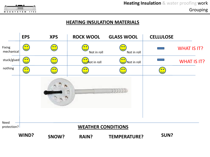

#### **HEATING INSULATION MATERIALS**

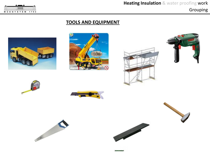

## **TOOLS AND EQUIPMENT**

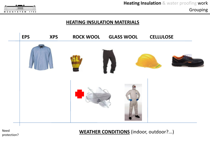

#### **HEATING INSULATION MATERIALS**



Need protection? **WEATHER CONDITIONS** (indoor, outdoor?...)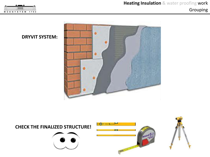



**DRYVIT SYSTEM:**